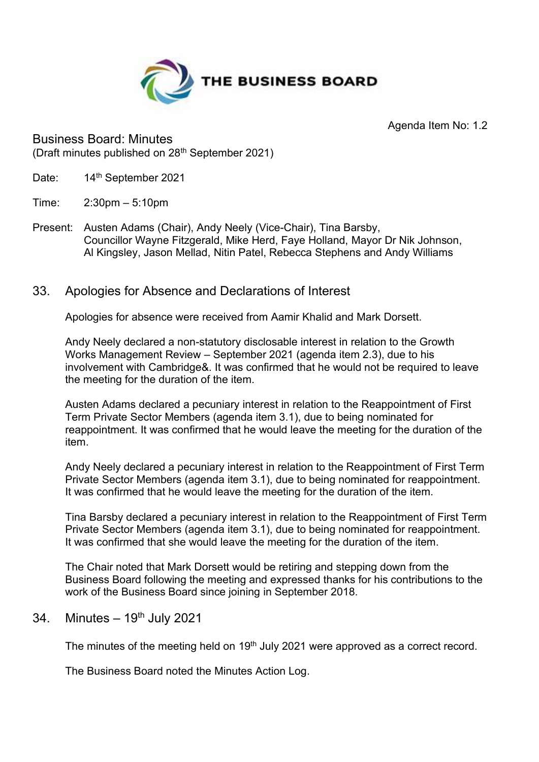

Agenda Item No: 1.2

Business Board: Minutes (Draft minutes published on 28th September 2021)

- Date: 14<sup>th</sup> September 2021
- Time: 2:30pm 5:10pm
- Present: Austen Adams (Chair), Andy Neely (Vice-Chair), Tina Barsby, Councillor Wayne Fitzgerald, Mike Herd, Faye Holland, Mayor Dr Nik Johnson, Al Kingsley, Jason Mellad, Nitin Patel, Rebecca Stephens and Andy Williams
- 33. Apologies for Absence and Declarations of Interest

Apologies for absence were received from Aamir Khalid and Mark Dorsett.

Andy Neely declared a non-statutory disclosable interest in relation to the Growth Works Management Review – September 2021 (agenda item 2.3), due to his involvement with Cambridge&. It was confirmed that he would not be required to leave the meeting for the duration of the item.

Austen Adams declared a pecuniary interest in relation to the Reappointment of First Term Private Sector Members (agenda item 3.1), due to being nominated for reappointment. It was confirmed that he would leave the meeting for the duration of the item.

Andy Neely declared a pecuniary interest in relation to the Reappointment of First Term Private Sector Members (agenda item 3.1), due to being nominated for reappointment. It was confirmed that he would leave the meeting for the duration of the item.

Tina Barsby declared a pecuniary interest in relation to the Reappointment of First Term Private Sector Members (agenda item 3.1), due to being nominated for reappointment. It was confirmed that she would leave the meeting for the duration of the item.

The Chair noted that Mark Dorsett would be retiring and stepping down from the Business Board following the meeting and expressed thanks for his contributions to the work of the Business Board since joining in September 2018.

## 34. Minutes  $-19<sup>th</sup>$  July 2021

The minutes of the meeting held on 19<sup>th</sup> July 2021 were approved as a correct record.

The Business Board noted the Minutes Action Log.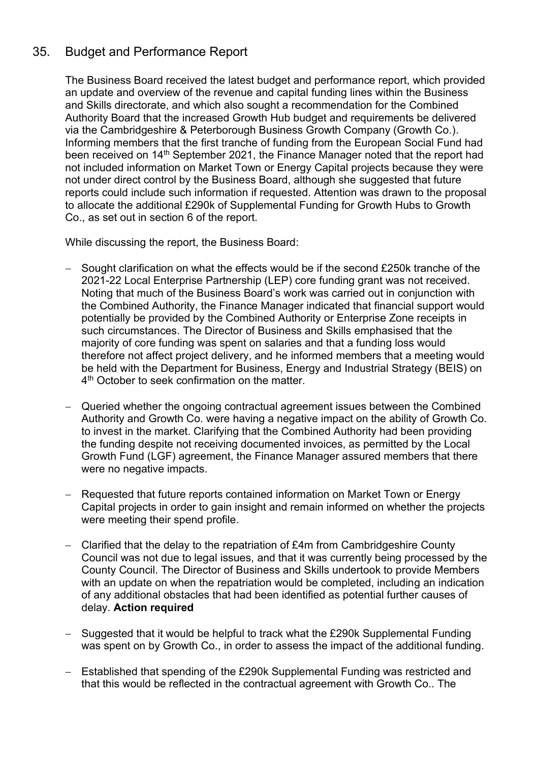# 35. Budget and Performance Report

The Business Board received the latest budget and performance report, which provided an update and overview of the revenue and capital funding lines within the Business and Skills directorate, and which also sought a recommendation for the Combined Authority Board that the increased Growth Hub budget and requirements be delivered via the Cambridgeshire & Peterborough Business Growth Company (Growth Co.). Informing members that the first tranche of funding from the European Social Fund had been received on 14<sup>th</sup> September 2021, the Finance Manager noted that the report had not included information on Market Town or Energy Capital projects because they were not under direct control by the Business Board, although she suggested that future reports could include such information if requested. Attention was drawn to the proposal to allocate the additional £290k of Supplemental Funding for Growth Hubs to Growth Co., as set out in section 6 of the report.

- − Sought clarification on what the effects would be if the second £250k tranche of the 2021-22 Local Enterprise Partnership (LEP) core funding grant was not received. Noting that much of the Business Board's work was carried out in conjunction with the Combined Authority, the Finance Manager indicated that financial support would potentially be provided by the Combined Authority or Enterprise Zone receipts in such circumstances. The Director of Business and Skills emphasised that the majority of core funding was spent on salaries and that a funding loss would therefore not affect project delivery, and he informed members that a meeting would be held with the Department for Business, Energy and Industrial Strategy (BEIS) on 4 th October to seek confirmation on the matter.
- − Queried whether the ongoing contractual agreement issues between the Combined Authority and Growth Co. were having a negative impact on the ability of Growth Co. to invest in the market. Clarifying that the Combined Authority had been providing the funding despite not receiving documented invoices, as permitted by the Local Growth Fund (LGF) agreement, the Finance Manager assured members that there were no negative impacts.
- − Requested that future reports contained information on Market Town or Energy Capital projects in order to gain insight and remain informed on whether the projects were meeting their spend profile.
- − Clarified that the delay to the repatriation of £4m from Cambridgeshire County Council was not due to legal issues, and that it was currently being processed by the County Council. The Director of Business and Skills undertook to provide Members with an update on when the repatriation would be completed, including an indication of any additional obstacles that had been identified as potential further causes of delay. **Action required**
- − Suggested that it would be helpful to track what the £290k Supplemental Funding was spent on by Growth Co., in order to assess the impact of the additional funding.
- − Established that spending of the £290k Supplemental Funding was restricted and that this would be reflected in the contractual agreement with Growth Co.. The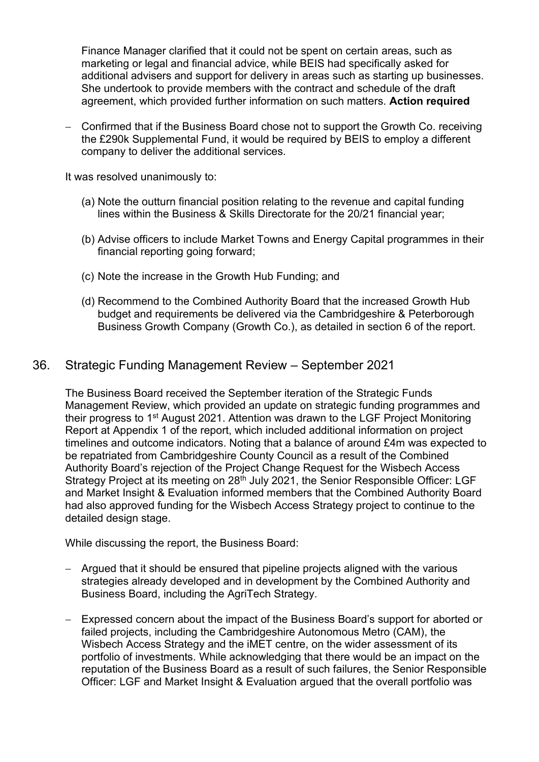Finance Manager clarified that it could not be spent on certain areas, such as marketing or legal and financial advice, while BEIS had specifically asked for additional advisers and support for delivery in areas such as starting up businesses. She undertook to provide members with the contract and schedule of the draft agreement, which provided further information on such matters. **Action required**

− Confirmed that if the Business Board chose not to support the Growth Co. receiving the £290k Supplemental Fund, it would be required by BEIS to employ a different company to deliver the additional services.

It was resolved unanimously to:

- (a) Note the outturn financial position relating to the revenue and capital funding lines within the Business & Skills Directorate for the 20/21 financial year;
- (b) Advise officers to include Market Towns and Energy Capital programmes in their financial reporting going forward;
- (c) Note the increase in the Growth Hub Funding; and
- (d) Recommend to the Combined Authority Board that the increased Growth Hub budget and requirements be delivered via the Cambridgeshire & Peterborough Business Growth Company (Growth Co.), as detailed in section 6 of the report.

#### 36. Strategic Funding Management Review – September 2021

The Business Board received the September iteration of the Strategic Funds Management Review, which provided an update on strategic funding programmes and their progress to 1st August 2021. Attention was drawn to the LGF Project Monitoring Report at Appendix 1 of the report, which included additional information on project timelines and outcome indicators. Noting that a balance of around £4m was expected to be repatriated from Cambridgeshire County Council as a result of the Combined Authority Board's rejection of the Project Change Request for the Wisbech Access Strategy Project at its meeting on 28<sup>th</sup> July 2021, the Senior Responsible Officer: LGF and Market Insight & Evaluation informed members that the Combined Authority Board had also approved funding for the Wisbech Access Strategy project to continue to the detailed design stage.

- − Argued that it should be ensured that pipeline projects aligned with the various strategies already developed and in development by the Combined Authority and Business Board, including the AgriTech Strategy.
- − Expressed concern about the impact of the Business Board's support for aborted or failed projects, including the Cambridgeshire Autonomous Metro (CAM), the Wisbech Access Strategy and the iMET centre, on the wider assessment of its portfolio of investments. While acknowledging that there would be an impact on the reputation of the Business Board as a result of such failures, the Senior Responsible Officer: LGF and Market Insight & Evaluation argued that the overall portfolio was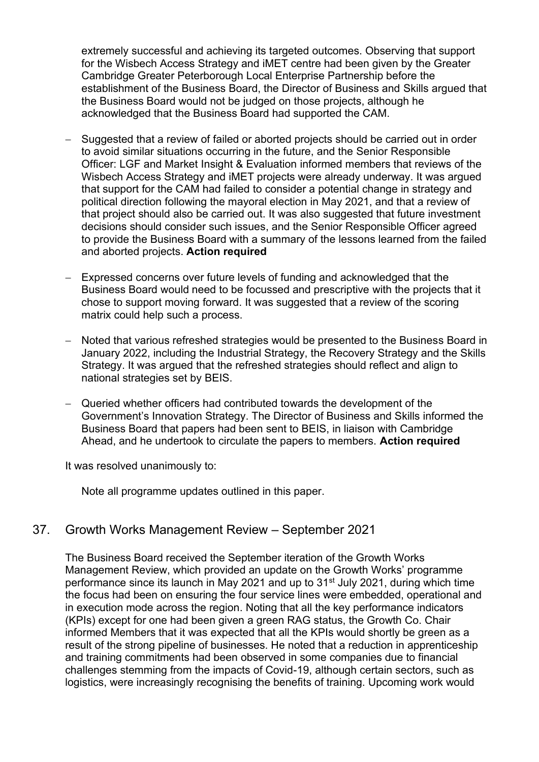extremely successful and achieving its targeted outcomes. Observing that support for the Wisbech Access Strategy and iMET centre had been given by the Greater Cambridge Greater Peterborough Local Enterprise Partnership before the establishment of the Business Board, the Director of Business and Skills argued that the Business Board would not be judged on those projects, although he acknowledged that the Business Board had supported the CAM.

- Suggested that a review of failed or aborted projects should be carried out in order to avoid similar situations occurring in the future, and the Senior Responsible Officer: LGF and Market Insight & Evaluation informed members that reviews of the Wisbech Access Strategy and iMET projects were already underway. It was argued that support for the CAM had failed to consider a potential change in strategy and political direction following the mayoral election in May 2021, and that a review of that project should also be carried out. It was also suggested that future investment decisions should consider such issues, and the Senior Responsible Officer agreed to provide the Business Board with a summary of the lessons learned from the failed and aborted projects. **Action required**
- − Expressed concerns over future levels of funding and acknowledged that the Business Board would need to be focussed and prescriptive with the projects that it chose to support moving forward. It was suggested that a review of the scoring matrix could help such a process.
- − Noted that various refreshed strategies would be presented to the Business Board in January 2022, including the Industrial Strategy, the Recovery Strategy and the Skills Strategy. It was argued that the refreshed strategies should reflect and align to national strategies set by BEIS.
- − Queried whether officers had contributed towards the development of the Government's Innovation Strategy. The Director of Business and Skills informed the Business Board that papers had been sent to BEIS, in liaison with Cambridge Ahead, and he undertook to circulate the papers to members. **Action required**

It was resolved unanimously to:

Note all programme updates outlined in this paper.

### 37. Growth Works Management Review – September 2021

The Business Board received the September iteration of the Growth Works Management Review, which provided an update on the Growth Works' programme performance since its launch in May 2021 and up to 31<sup>st</sup> July 2021, during which time the focus had been on ensuring the four service lines were embedded, operational and in execution mode across the region. Noting that all the key performance indicators (KPIs) except for one had been given a green RAG status, the Growth Co. Chair informed Members that it was expected that all the KPIs would shortly be green as a result of the strong pipeline of businesses. He noted that a reduction in apprenticeship and training commitments had been observed in some companies due to financial challenges stemming from the impacts of Covid-19, although certain sectors, such as logistics, were increasingly recognising the benefits of training. Upcoming work would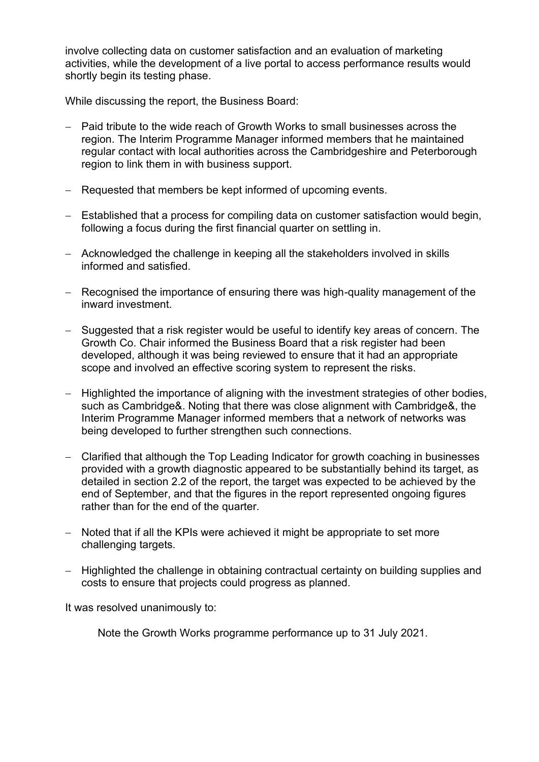involve collecting data on customer satisfaction and an evaluation of marketing activities, while the development of a live portal to access performance results would shortly begin its testing phase.

While discussing the report, the Business Board:

- − Paid tribute to the wide reach of Growth Works to small businesses across the region. The Interim Programme Manager informed members that he maintained regular contact with local authorities across the Cambridgeshire and Peterborough region to link them in with business support.
- − Requested that members be kept informed of upcoming events.
- − Established that a process for compiling data on customer satisfaction would begin, following a focus during the first financial quarter on settling in.
- − Acknowledged the challenge in keeping all the stakeholders involved in skills informed and satisfied.
- − Recognised the importance of ensuring there was high-quality management of the inward investment.
- − Suggested that a risk register would be useful to identify key areas of concern. The Growth Co. Chair informed the Business Board that a risk register had been developed, although it was being reviewed to ensure that it had an appropriate scope and involved an effective scoring system to represent the risks.
- − Highlighted the importance of aligning with the investment strategies of other bodies, such as Cambridge&. Noting that there was close alignment with Cambridge&, the Interim Programme Manager informed members that a network of networks was being developed to further strengthen such connections.
- − Clarified that although the Top Leading Indicator for growth coaching in businesses provided with a growth diagnostic appeared to be substantially behind its target, as detailed in section 2.2 of the report, the target was expected to be achieved by the end of September, and that the figures in the report represented ongoing figures rather than for the end of the quarter.
- − Noted that if all the KPIs were achieved it might be appropriate to set more challenging targets.
- − Highlighted the challenge in obtaining contractual certainty on building supplies and costs to ensure that projects could progress as planned.

It was resolved unanimously to:

Note the Growth Works programme performance up to 31 July 2021.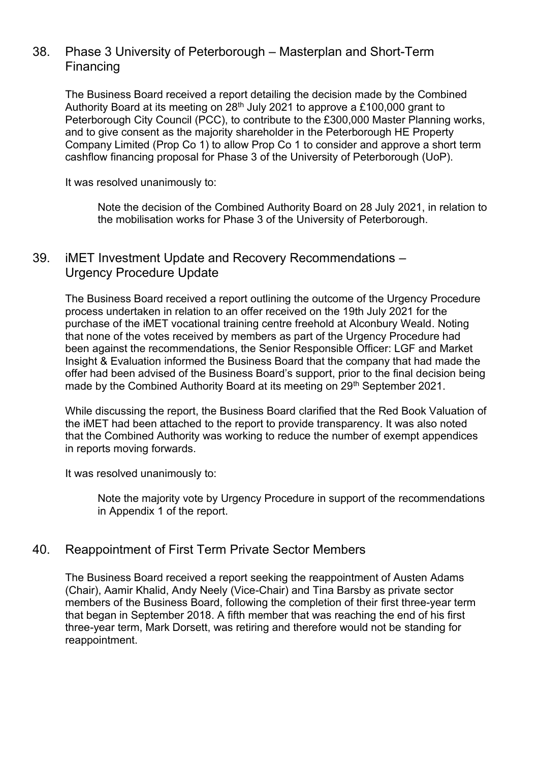## 38. Phase 3 University of Peterborough – Masterplan and Short-Term Financing

The Business Board received a report detailing the decision made by the Combined Authority Board at its meeting on  $28<sup>th</sup>$  July 2021 to approve a £100,000 grant to Peterborough City Council (PCC), to contribute to the £300,000 Master Planning works, and to give consent as the majority shareholder in the Peterborough HE Property Company Limited (Prop Co 1) to allow Prop Co 1 to consider and approve a short term cashflow financing proposal for Phase 3 of the University of Peterborough (UoP).

It was resolved unanimously to:

Note the decision of the Combined Authority Board on 28 July 2021, in relation to the mobilisation works for Phase 3 of the University of Peterborough.

## 39. iMET Investment Update and Recovery Recommendations – Urgency Procedure Update

The Business Board received a report outlining the outcome of the Urgency Procedure process undertaken in relation to an offer received on the 19th July 2021 for the purchase of the iMET vocational training centre freehold at Alconbury Weald. Noting that none of the votes received by members as part of the Urgency Procedure had been against the recommendations, the Senior Responsible Officer: LGF and Market Insight & Evaluation informed the Business Board that the company that had made the offer had been advised of the Business Board's support, prior to the final decision being made by the Combined Authority Board at its meeting on 29<sup>th</sup> September 2021.

While discussing the report, the Business Board clarified that the Red Book Valuation of the iMET had been attached to the report to provide transparency. It was also noted that the Combined Authority was working to reduce the number of exempt appendices in reports moving forwards.

It was resolved unanimously to:

Note the majority vote by Urgency Procedure in support of the recommendations in Appendix 1 of the report.

### 40. Reappointment of First Term Private Sector Members

The Business Board received a report seeking the reappointment of Austen Adams (Chair), Aamir Khalid, Andy Neely (Vice-Chair) and Tina Barsby as private sector members of the Business Board, following the completion of their first three-year term that began in September 2018. A fifth member that was reaching the end of his first three-year term, Mark Dorsett, was retiring and therefore would not be standing for reappointment.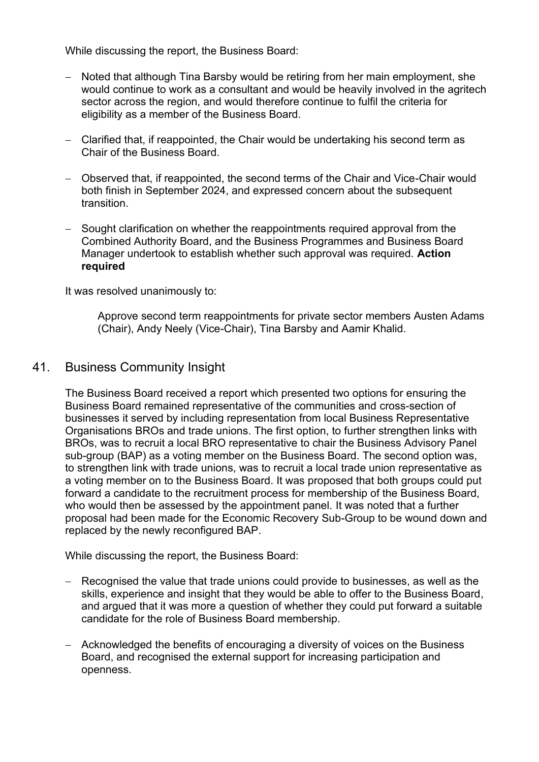While discussing the report, the Business Board:

- − Noted that although Tina Barsby would be retiring from her main employment, she would continue to work as a consultant and would be heavily involved in the agritech sector across the region, and would therefore continue to fulfil the criteria for eligibility as a member of the Business Board.
- − Clarified that, if reappointed, the Chair would be undertaking his second term as Chair of the Business Board.
- − Observed that, if reappointed, the second terms of the Chair and Vice-Chair would both finish in September 2024, and expressed concern about the subsequent transition.
- − Sought clarification on whether the reappointments required approval from the Combined Authority Board, and the Business Programmes and Business Board Manager undertook to establish whether such approval was required. **Action required**

It was resolved unanimously to:

Approve second term reappointments for private sector members Austen Adams (Chair), Andy Neely (Vice-Chair), Tina Barsby and Aamir Khalid.

#### 41. Business Community Insight

The Business Board received a report which presented two options for ensuring the Business Board remained representative of the communities and cross-section of businesses it served by including representation from local Business Representative Organisations BROs and trade unions. The first option, to further strengthen links with BROs, was to recruit a local BRO representative to chair the Business Advisory Panel sub-group (BAP) as a voting member on the Business Board. The second option was, to strengthen link with trade unions, was to recruit a local trade union representative as a voting member on to the Business Board. It was proposed that both groups could put forward a candidate to the recruitment process for membership of the Business Board, who would then be assessed by the appointment panel. It was noted that a further proposal had been made for the Economic Recovery Sub-Group to be wound down and replaced by the newly reconfigured BAP.

- − Recognised the value that trade unions could provide to businesses, as well as the skills, experience and insight that they would be able to offer to the Business Board, and argued that it was more a question of whether they could put forward a suitable candidate for the role of Business Board membership.
- − Acknowledged the benefits of encouraging a diversity of voices on the Business Board, and recognised the external support for increasing participation and openness.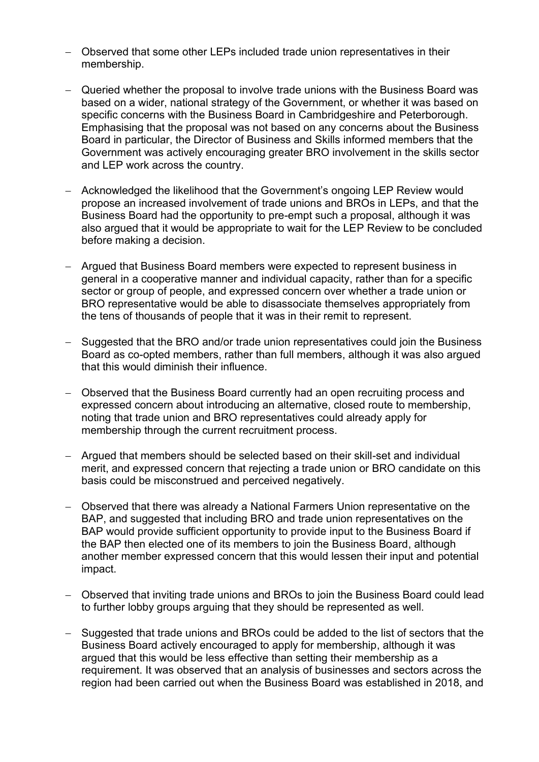- − Observed that some other LEPs included trade union representatives in their membership.
- − Queried whether the proposal to involve trade unions with the Business Board was based on a wider, national strategy of the Government, or whether it was based on specific concerns with the Business Board in Cambridgeshire and Peterborough. Emphasising that the proposal was not based on any concerns about the Business Board in particular, the Director of Business and Skills informed members that the Government was actively encouraging greater BRO involvement in the skills sector and LEP work across the country.
- − Acknowledged the likelihood that the Government's ongoing LEP Review would propose an increased involvement of trade unions and BROs in LEPs, and that the Business Board had the opportunity to pre-empt such a proposal, although it was also argued that it would be appropriate to wait for the LEP Review to be concluded before making a decision.
- − Argued that Business Board members were expected to represent business in general in a cooperative manner and individual capacity, rather than for a specific sector or group of people, and expressed concern over whether a trade union or BRO representative would be able to disassociate themselves appropriately from the tens of thousands of people that it was in their remit to represent.
- − Suggested that the BRO and/or trade union representatives could join the Business Board as co-opted members, rather than full members, although it was also argued that this would diminish their influence.
- − Observed that the Business Board currently had an open recruiting process and expressed concern about introducing an alternative, closed route to membership, noting that trade union and BRO representatives could already apply for membership through the current recruitment process.
- − Argued that members should be selected based on their skill-set and individual merit, and expressed concern that rejecting a trade union or BRO candidate on this basis could be misconstrued and perceived negatively.
- − Observed that there was already a National Farmers Union representative on the BAP, and suggested that including BRO and trade union representatives on the BAP would provide sufficient opportunity to provide input to the Business Board if the BAP then elected one of its members to join the Business Board, although another member expressed concern that this would lessen their input and potential impact.
- − Observed that inviting trade unions and BROs to join the Business Board could lead to further lobby groups arguing that they should be represented as well.
- − Suggested that trade unions and BROs could be added to the list of sectors that the Business Board actively encouraged to apply for membership, although it was argued that this would be less effective than setting their membership as a requirement. It was observed that an analysis of businesses and sectors across the region had been carried out when the Business Board was established in 2018, and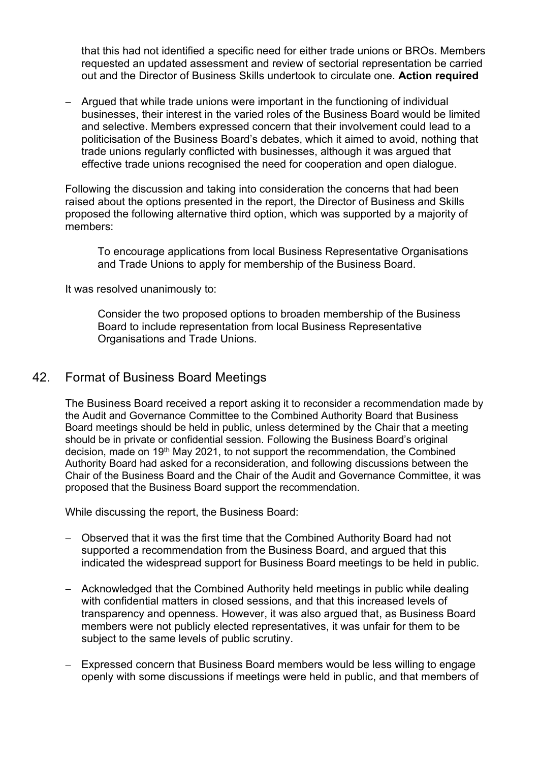that this had not identified a specific need for either trade unions or BROs. Members requested an updated assessment and review of sectorial representation be carried out and the Director of Business Skills undertook to circulate one. **Action required**

− Argued that while trade unions were important in the functioning of individual businesses, their interest in the varied roles of the Business Board would be limited and selective. Members expressed concern that their involvement could lead to a politicisation of the Business Board's debates, which it aimed to avoid, nothing that trade unions regularly conflicted with businesses, although it was argued that effective trade unions recognised the need for cooperation and open dialogue.

Following the discussion and taking into consideration the concerns that had been raised about the options presented in the report, the Director of Business and Skills proposed the following alternative third option, which was supported by a majority of members:

To encourage applications from local Business Representative Organisations and Trade Unions to apply for membership of the Business Board.

It was resolved unanimously to:

Consider the two proposed options to broaden membership of the Business Board to include representation from local Business Representative Organisations and Trade Unions.

#### 42. Format of Business Board Meetings

The Business Board received a report asking it to reconsider a recommendation made by the Audit and Governance Committee to the Combined Authority Board that Business Board meetings should be held in public, unless determined by the Chair that a meeting should be in private or confidential session. Following the Business Board's original decision, made on 19<sup>th</sup> May 2021, to not support the recommendation, the Combined Authority Board had asked for a reconsideration, and following discussions between the Chair of the Business Board and the Chair of the Audit and Governance Committee, it was proposed that the Business Board support the recommendation.

- − Observed that it was the first time that the Combined Authority Board had not supported a recommendation from the Business Board, and argued that this indicated the widespread support for Business Board meetings to be held in public.
- − Acknowledged that the Combined Authority held meetings in public while dealing with confidential matters in closed sessions, and that this increased levels of transparency and openness. However, it was also argued that, as Business Board members were not publicly elected representatives, it was unfair for them to be subject to the same levels of public scrutiny.
- − Expressed concern that Business Board members would be less willing to engage openly with some discussions if meetings were held in public, and that members of